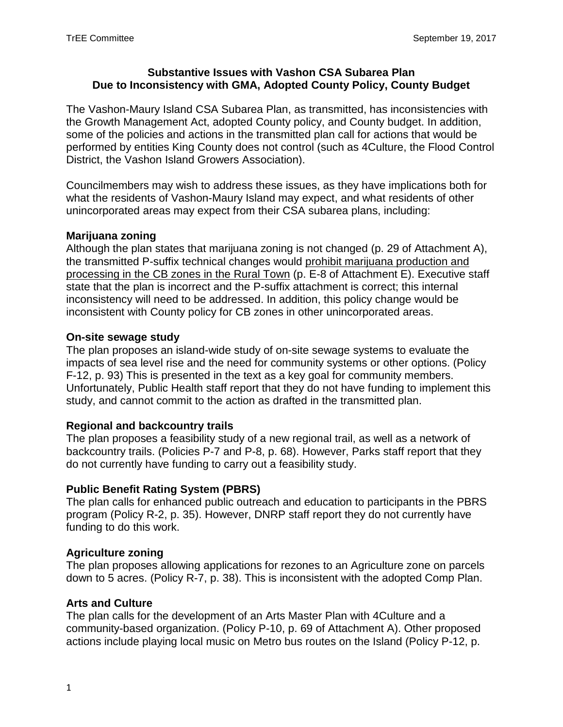#### **Substantive Issues with Vashon CSA Subarea Plan Due to Inconsistency with GMA, Adopted County Policy, County Budget**

The Vashon-Maury Island CSA Subarea Plan, as transmitted, has inconsistencies with the Growth Management Act, adopted County policy, and County budget. In addition, some of the policies and actions in the transmitted plan call for actions that would be performed by entities King County does not control (such as 4Culture, the Flood Control District, the Vashon Island Growers Association).

Councilmembers may wish to address these issues, as they have implications both for what the residents of Vashon-Maury Island may expect, and what residents of other unincorporated areas may expect from their CSA subarea plans, including:

# **Marijuana zoning**

Although the plan states that marijuana zoning is not changed (p. 29 of Attachment A), the transmitted P-suffix technical changes would prohibit marijuana production and processing in the CB zones in the Rural Town (p. E-8 of Attachment E). Executive staff state that the plan is incorrect and the P-suffix attachment is correct; this internal inconsistency will need to be addressed. In addition, this policy change would be inconsistent with County policy for CB zones in other unincorporated areas.

#### **On-site sewage study**

The plan proposes an island-wide study of on-site sewage systems to evaluate the impacts of sea level rise and the need for community systems or other options. (Policy F-12, p. 93) This is presented in the text as a key goal for community members. Unfortunately, Public Health staff report that they do not have funding to implement this study, and cannot commit to the action as drafted in the transmitted plan.

# **Regional and backcountry trails**

The plan proposes a feasibility study of a new regional trail, as well as a network of backcountry trails. (Policies P-7 and P-8, p. 68). However, Parks staff report that they do not currently have funding to carry out a feasibility study.

# **Public Benefit Rating System (PBRS)**

The plan calls for enhanced public outreach and education to participants in the PBRS program (Policy R-2, p. 35). However, DNRP staff report they do not currently have funding to do this work.

# **Agriculture zoning**

The plan proposes allowing applications for rezones to an Agriculture zone on parcels down to 5 acres. (Policy R-7, p. 38). This is inconsistent with the adopted Comp Plan.

# **Arts and Culture**

The plan calls for the development of an Arts Master Plan with 4Culture and a community-based organization. (Policy P-10, p. 69 of Attachment A). Other proposed actions include playing local music on Metro bus routes on the Island (Policy P-12, p.